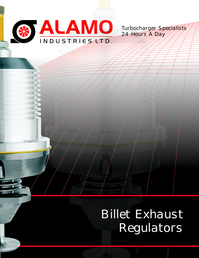

Turbocharger Specialists 24 Hours A Day

Billet Exhaust Regulators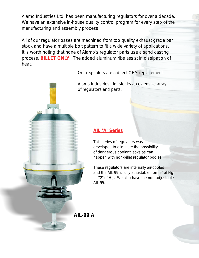Alamo Industries Ltd. has been manufacturing regulators for over a decade. We have an extensive in-house quality control program for every step of the manufacturing and assembly process.

All of our regulator bases are machined from top quality exhaust grade bar stock and have a multiple bolt pattern to fit a wide variety of applications. It is worth noting that none of Alamo's regulator parts use a sand casting process, BILLET ONLY. The added aluminum ribs assist in dissipation of heat.

Our regulators are a direct OEM replacement.

Alamo Industries Ltd. stocks an extensive array of regulators and parts.

#### **AIL "A" Series**

This series of regulators was developed to eliminate the possibility of dangerous coolant leaks as can happen with non-billet regulator bodies.

These regulators are internally air-cooled and the AIL-99 is fully adjustable from 9" of Hg to 72" of Hg. We also have the non-adjustable AIL-95.

**AIL-99 A**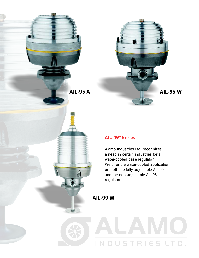'nг

 $\mathbf{d}$ 



### **AIL "W" Series**

Alamo Industries Ltd. recognizes a need in certain industries for a water-cooled base regulator. We offer the water-cooled application on both the fully adjustable AIL-99 and the non-adjustable AIL-95 regulators.

INDUSTRIESL

**AIL-99 W**